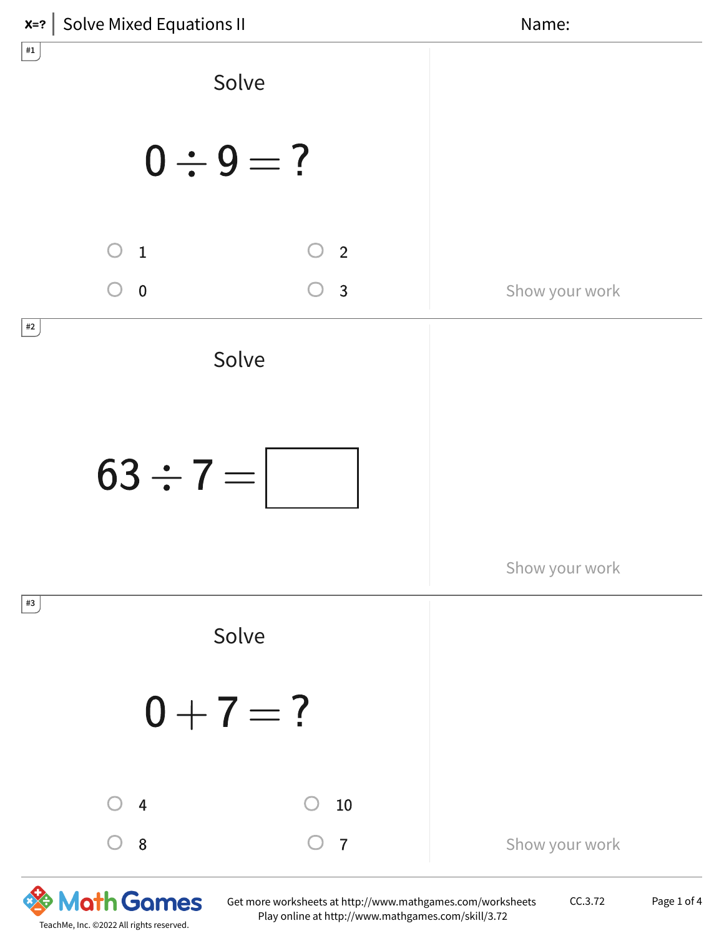

CC.3.72 Page 1 of 4

TeachMe, Inc. ©2022 All rights reserved.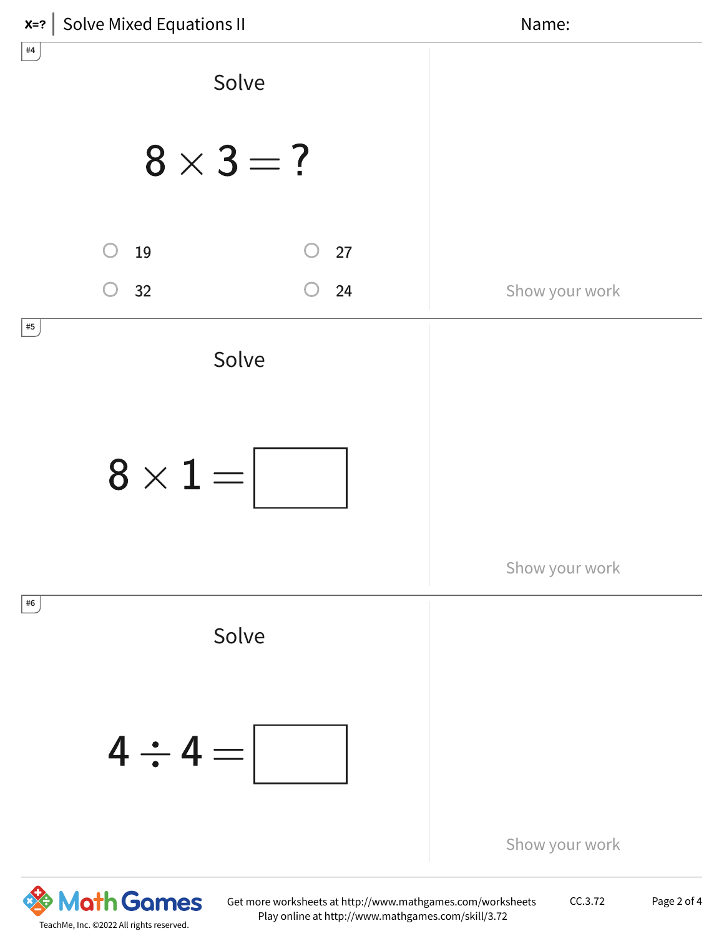

CC.3.72 Page 2 of 4

TeachMe, Inc. ©2022 All rights reserved.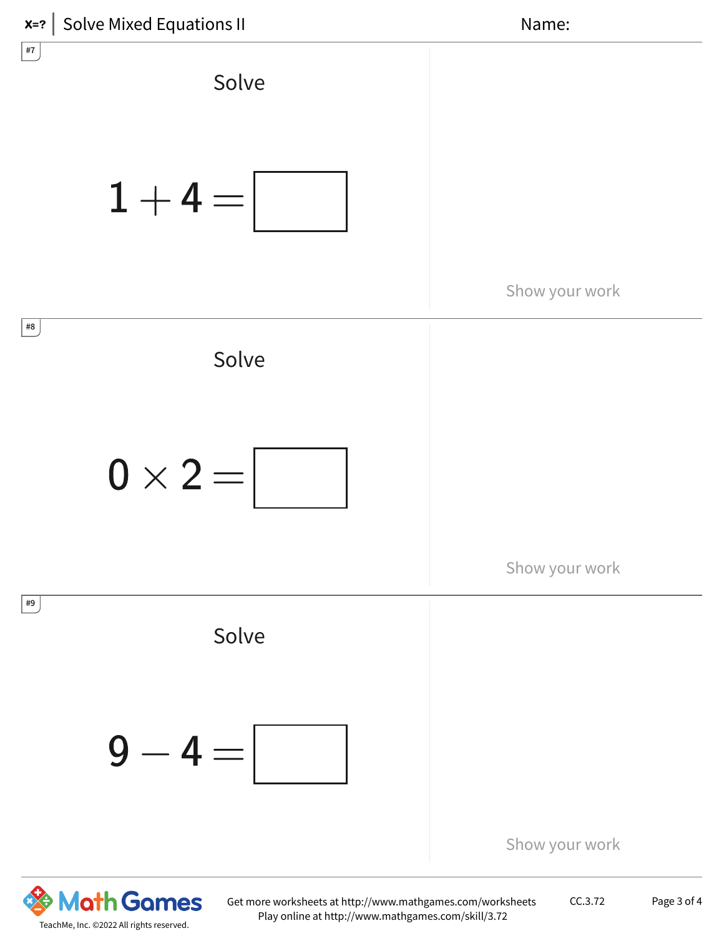



CC.3.72 Page 3 of 4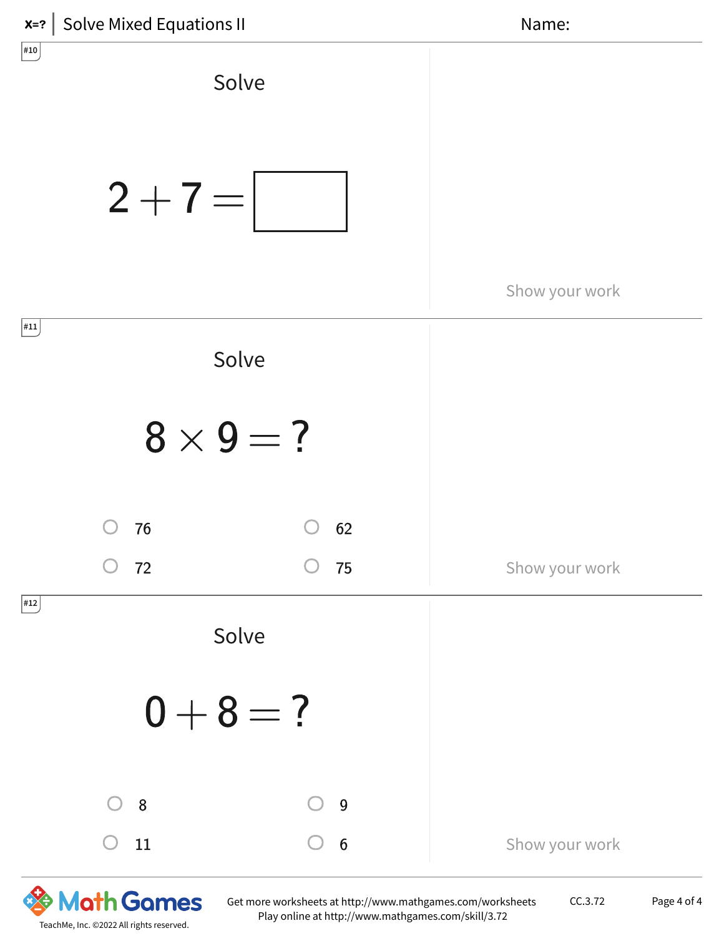



CC.3.72 Page 4 of 4